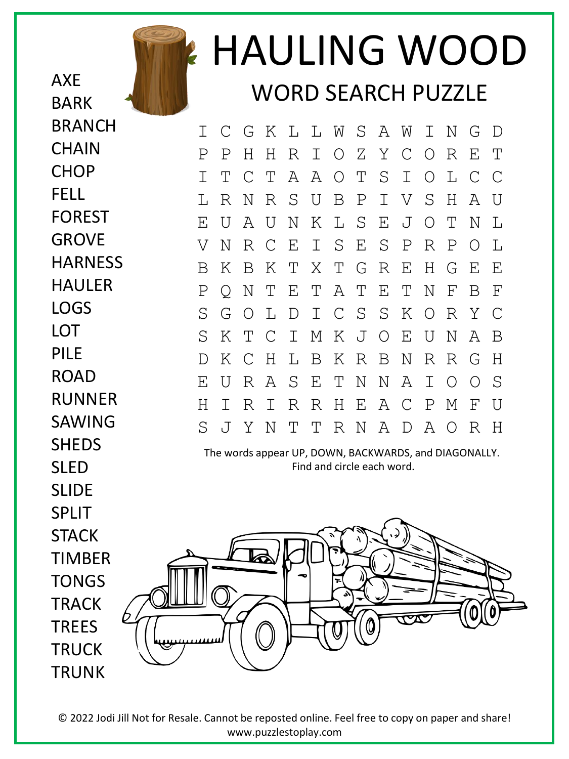

HAULING WOOD WORD SEARCH PUZZLE

I C G K L L W S A W I N G D P P H H R I O Z Y C O R E T I T C T A A O T S I O L C C L R N R S U B P I V S H A U E U A U N K L S E J O T N L V N R C E I S E S P R P O L B K B K T X T G R E H G E E P Q N T E T A T E T N F B F S G O L D I C S S K O R Y C S K T C I M K J O E U N A B D K C H L B K R B N R R G H E U R A S E T N N A I O O S H I R I R R H E A C P M F U S J Y N T T R N A D A O R H

The words appear UP, DOWN, BACKWARDS, and DIAGONALLY. Find and circle each word.



© 2022 Jodi Jill Not for Resale. Cannot be reposted online. Feel free to copy on paper and share! www.puzzlestoplay.com

**CHAIN CHOP** FELL FOREST **GROVE HARNESS** HAULER LOGS LOT PILE ROAD RUNNER SAWING **SHEDS** SLED SLIDE SPLIT **STACK** TIMBER TONGS **TRACK TRFFS TRUCK** TRUNK

AXE

BARK

BRANCH